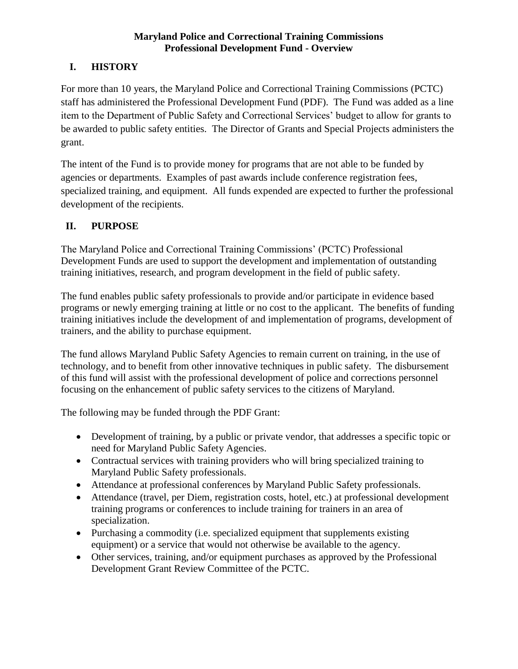# **I. HISTORY**

For more than 10 years, the Maryland Police and Correctional Training Commissions (PCTC) staff has administered the Professional Development Fund (PDF). The Fund was added as a line item to the Department of Public Safety and Correctional Services' budget to allow for grants to be awarded to public safety entities. The Director of Grants and Special Projects administers the grant.

The intent of the Fund is to provide money for programs that are not able to be funded by agencies or departments. Examples of past awards include conference registration fees, specialized training, and equipment. All funds expended are expected to further the professional development of the recipients.

# **II. PURPOSE**

The Maryland Police and Correctional Training Commissions' (PCTC) Professional Development Funds are used to support the development and implementation of outstanding training initiatives, research, and program development in the field of public safety.

The fund enables public safety professionals to provide and/or participate in evidence based programs or newly emerging training at little or no cost to the applicant. The benefits of funding training initiatives include the development of and implementation of programs, development of trainers, and the ability to purchase equipment.

The fund allows Maryland Public Safety Agencies to remain current on training, in the use of technology, and to benefit from other innovative techniques in public safety. The disbursement of this fund will assist with the professional development of police and corrections personnel focusing on the enhancement of public safety services to the citizens of Maryland.

The following may be funded through the PDF Grant:

- Development of training, by a public or private vendor, that addresses a specific topic or need for Maryland Public Safety Agencies.
- Contractual services with training providers who will bring specialized training to Maryland Public Safety professionals.
- Attendance at professional conferences by Maryland Public Safety professionals.
- Attendance (travel, per Diem, registration costs, hotel, etc.) at professional development training programs or conferences to include training for trainers in an area of specialization.
- Purchasing a commodity (i.e. specialized equipment that supplements existing equipment) or a service that would not otherwise be available to the agency.
- Other services, training, and/or equipment purchases as approved by the Professional Development Grant Review Committee of the PCTC.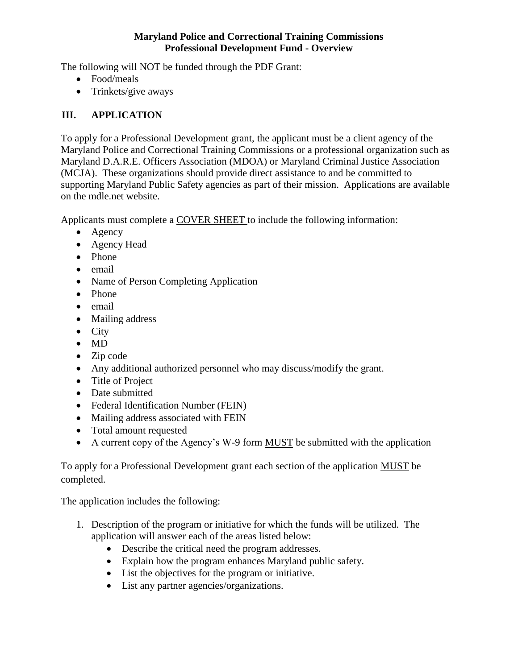The following will NOT be funded through the PDF Grant:

- Food/meals
- Trinkets/give aways

## **III. APPLICATION**

To apply for a Professional Development grant, the applicant must be a client agency of the Maryland Police and Correctional Training Commissions or a professional organization such as Maryland D.A.R.E. Officers Association (MDOA) or Maryland Criminal Justice Association (MCJA). These organizations should provide direct assistance to and be committed to supporting Maryland Public Safety agencies as part of their mission. Applications are available on the mdle.net website.

Applicants must complete a COVER SHEET to include the following information:

- Agency
- Agency Head
- Phone
- email
- Name of Person Completing Application
- Phone
- email
- Mailing address
- $\bullet$  City
- MD
- Zip code
- Any additional authorized personnel who may discuss/modify the grant.
- Title of Project
- Date submitted
- Federal Identification Number (FEIN)
- Mailing address associated with FEIN
- Total amount requested
- A current copy of the Agency's W-9 form MUST be submitted with the application

To apply for a Professional Development grant each section of the application MUST be completed.

The application includes the following:

- 1. Description of the program or initiative for which the funds will be utilized. The application will answer each of the areas listed below:
	- Describe the critical need the program addresses.
	- Explain how the program enhances Maryland public safety.
	- List the objectives for the program or initiative.
	- List any partner agencies/organizations.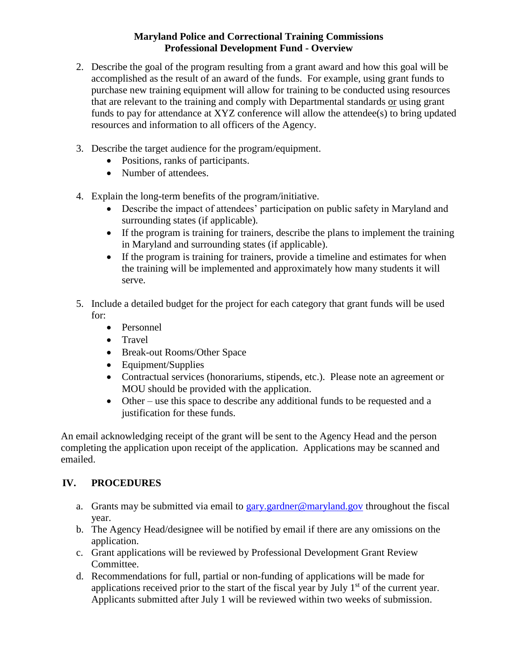- 2. Describe the goal of the program resulting from a grant award and how this goal will be accomplished as the result of an award of the funds. For example, using grant funds to purchase new training equipment will allow for training to be conducted using resources that are relevant to the training and comply with Departmental standards or using grant funds to pay for attendance at XYZ conference will allow the attendee(s) to bring updated resources and information to all officers of the Agency.
- 3. Describe the target audience for the program/equipment.
	- Positions, ranks of participants.
	- Number of attendees.
- 4. Explain the long-term benefits of the program/initiative.
	- Describe the impact of attendees' participation on public safety in Maryland and surrounding states (if applicable).
	- If the program is training for trainers, describe the plans to implement the training in Maryland and surrounding states (if applicable).
	- If the program is training for trainers, provide a timeline and estimates for when the training will be implemented and approximately how many students it will serve.
- 5. Include a detailed budget for the project for each category that grant funds will be used for:
	- Personnel
	- Travel
	- Break-out Rooms/Other Space
	- Equipment/Supplies
	- Contractual services (honorariums, stipends, etc.). Please note an agreement or MOU should be provided with the application.
	- Other use this space to describe any additional funds to be requested and a justification for these funds.

An email acknowledging receipt of the grant will be sent to the Agency Head and the person completing the application upon receipt of the application. Applications may be scanned and emailed.

## **IV. PROCEDURES**

- a. Grants may be submitted via email to [gary.gardner@maryland.gov](mailto:gary.gardner@maryland.gov) throughout the fiscal year.
- b. The Agency Head/designee will be notified by email if there are any omissions on the application.
- c. Grant applications will be reviewed by Professional Development Grant Review Committee.
- d. Recommendations for full, partial or non-funding of applications will be made for applications received prior to the start of the fiscal year by July  $1<sup>st</sup>$  of the current year. Applicants submitted after July 1 will be reviewed within two weeks of submission.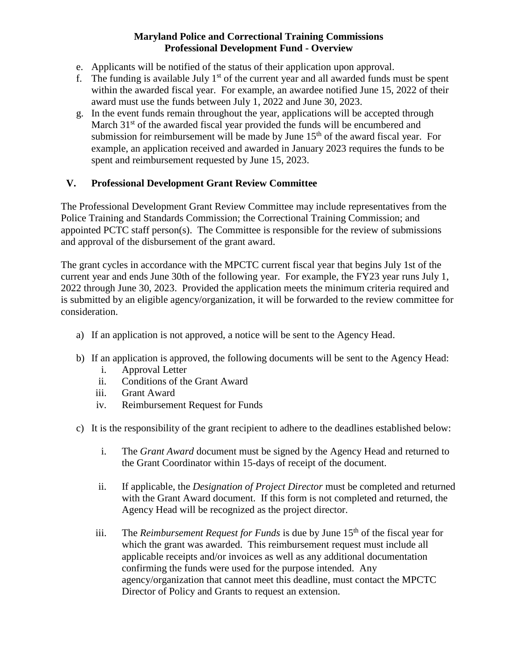- e. Applicants will be notified of the status of their application upon approval.
- f. The funding is available July  $1<sup>st</sup>$  of the current year and all awarded funds must be spent within the awarded fiscal year. For example, an awardee notified June 15, 2022 of their award must use the funds between July 1, 2022 and June 30, 2023.
- g. In the event funds remain throughout the year, applications will be accepted through March  $31<sup>st</sup>$  of the awarded fiscal year provided the funds will be encumbered and submission for reimbursement will be made by June  $15<sup>th</sup>$  of the award fiscal year. For example, an application received and awarded in January 2023 requires the funds to be spent and reimbursement requested by June 15, 2023.

#### **V. Professional Development Grant Review Committee**

The Professional Development Grant Review Committee may include representatives from the Police Training and Standards Commission; the Correctional Training Commission; and appointed PCTC staff person(s). The Committee is responsible for the review of submissions and approval of the disbursement of the grant award.

The grant cycles in accordance with the MPCTC current fiscal year that begins July 1st of the current year and ends June 30th of the following year. For example, the FY23 year runs July 1, 2022 through June 30, 2023. Provided the application meets the minimum criteria required and is submitted by an eligible agency/organization, it will be forwarded to the review committee for consideration.

- a) If an application is not approved, a notice will be sent to the Agency Head.
- b) If an application is approved, the following documents will be sent to the Agency Head:
	- i. Approval Letter
	- ii. Conditions of the Grant Award
	- iii. Grant Award
	- iv. Reimbursement Request for Funds
- c) It is the responsibility of the grant recipient to adhere to the deadlines established below:
	- i. The *Grant Award* document must be signed by the Agency Head and returned to the Grant Coordinator within 15-days of receipt of the document.
	- ii. If applicable, the *Designation of Project Director* must be completed and returned with the Grant Award document. If this form is not completed and returned, the Agency Head will be recognized as the project director.
	- iii. The *Reimbursement Request for Funds* is due by June 15<sup>th</sup> of the fiscal year for which the grant was awarded. This reimbursement request must include all applicable receipts and/or invoices as well as any additional documentation confirming the funds were used for the purpose intended. Any agency/organization that cannot meet this deadline, must contact the MPCTC Director of Policy and Grants to request an extension.